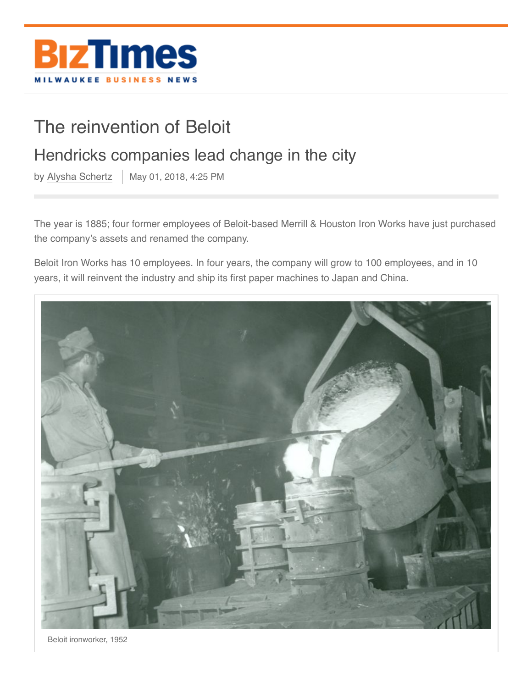

## The reinvention of Beloit

## Hendricks companies lead change in the city

by [Alysha Schertz](https://www.biztimes.com/author/aschertz/)  $\parallel$  May 01, 2018, 4:25 PM

The year is 1885; four former employees of Beloit-based Merrill & Houston Iron Works have just purchased the company's assets and renamed the company.

Beloit Iron Works has 10 employees. In four years, the company will grow to 100 employees, and in 10 years, it will reinvent the industry and ship its first paper machines to Japan and China.



Beloit ironworker, 1952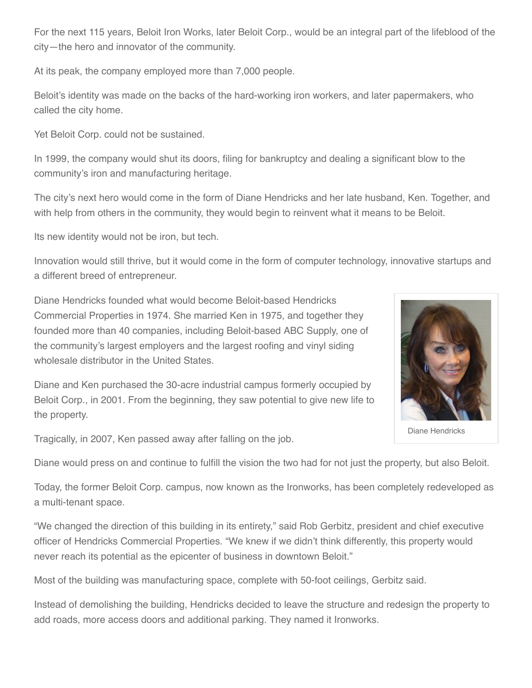For the next 115 years, Beloit Iron Works, later Beloit Corp., would be an integral part of the lifeblood of the city—the hero and innovator of the community.

At its peak, the company employed more than 7,000 people.

Beloit's identity was made on the backs of the hard-working iron workers, and later papermakers, who called the city home.

Yet Beloit Corp. could not be sustained.

In 1999, the company would shut its doors, filing for bankruptcy and dealing a significant blow to the community's iron and manufacturing heritage.

The city's next hero would come in the form of Diane Hendricks and her late husband, Ken. Together, and with help from others in the community, they would begin to reinvent what it means to be Beloit.

Its new identity would not be iron, but tech.

Innovation would still thrive, but it would come in the form of computer technology, innovative startups and a different breed of entrepreneur.

Diane Hendricks founded what would become Beloit-based Hendricks Commercial Properties in 1974. She married Ken in 1975, and together they founded more than 40 companies, including Beloit-based ABC Supply, one of the community's largest employers and the largest roofing and vinyl siding wholesale distributor in the United States.

Diane and Ken purchased the 30-acre industrial campus formerly occupied by Beloit Corp., in 2001. From the beginning, they saw potential to give new life to the property.

Tragically, in 2007, Ken passed away after falling on the job.

Diane would press on and continue to fulfill the vision the two had for not just the property, but also Beloit.

Today, the former Beloit Corp. campus, now known as the Ironworks, has been completely redeveloped as a multi-tenant space.

"We changed the direction of this building in its entirety," said Rob Gerbitz, president and chief executive officer of Hendricks Commercial Properties. "We knew if we didn't think differently, this property would never reach its potential as the epicenter of business in downtown Beloit."

Most of the building was manufacturing space, complete with 50-foot ceilings, Gerbitz said.

Instead of demolishing the building, Hendricks decided to leave the structure and redesign the property to add roads, more access doors and additional parking. They named it Ironworks.



Diane Hendricks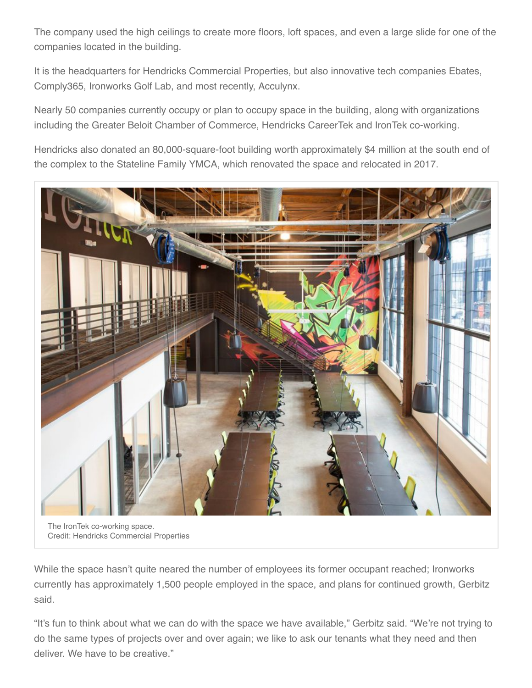The company used the high ceilings to create more floors, loft spaces, and even a large slide for one of the companies located in the building.

It is the headquarters for Hendricks Commercial Properties, but also innovative tech companies Ebates, Comply365, Ironworks Golf Lab, and most recently, Acculynx.

Nearly 50 companies currently occupy or plan to occupy space in the building, along with organizations including the Greater Beloit Chamber of Commerce, Hendricks CareerTek and IronTek co-working.

Hendricks also donated an 80,000-square-foot building worth approximately \$4 million at the south end of the complex to the Stateline Family YMCA, which renovated the space and relocated in 2017.



The IronTek co-working space. Credit: Hendricks Commercial Properties

While the space hasn't quite neared the number of employees its former occupant reached; Ironworks currently has approximately 1,500 people employed in the space, and plans for continued growth, Gerbitz said.

"It's fun to think about what we can do with the space we have available," Gerbitz said. "We're not trying to do the same types of projects over and over again; we like to ask our tenants what they need and then deliver. We have to be creative."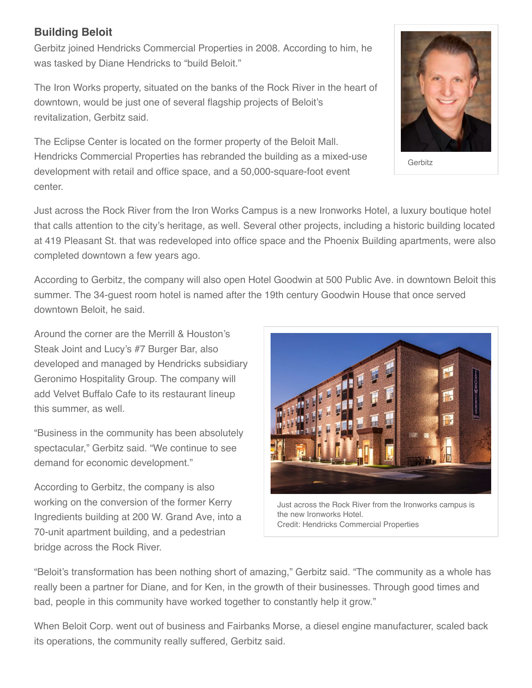## **Building Beloit**

Gerbitz joined Hendricks Commercial Properties in 2008. According to him, he was tasked by Diane Hendricks to "build Beloit."

The Iron Works property, situated on the banks of the Rock River in the heart of downtown, would be just one of several flagship projects of Beloit's revitalization, Gerbitz said.

The Eclipse Center is located on the former property of the Beloit Mall. Hendricks Commercial Properties has rebranded the building as a mixed-use development with retail and office space, and a 50,000-square-foot event center.



Gerbitz

Just across the Rock River from the Iron Works Campus is a new Ironworks Hotel, a luxury boutique hotel that calls attention to the city's heritage, as well. Several other projects, including a historic building located at 419 Pleasant St. that was redeveloped into office space and the Phoenix Building apartments, were also completed downtown a few years ago.

According to Gerbitz, the company will also open Hotel Goodwin at 500 Public Ave. in downtown Beloit this summer. The 34-guest room hotel is named after the 19th century Goodwin House that once served downtown Beloit, he said.

Around the corner are the Merrill & Houston's Steak Joint and Lucy's #7 Burger Bar, also developed and managed by Hendricks subsidiary Geronimo Hospitality Group. The company will add Velvet Buffalo Cafe to its restaurant lineup this summer, as well.

"Business in the community has been absolutely spectacular," Gerbitz said. "We continue to see demand for economic development."

According to Gerbitz, the company is also working on the conversion of the former Kerry Ingredients building at 200 W. Grand Ave, into a 70-unit apartment building, and a pedestrian bridge across the Rock River.



Just across the Rock River from the Ironworks campus is the new Ironworks Hotel. Credit: Hendricks Commercial Properties

"Beloit's transformation has been nothing short of amazing," Gerbitz said. "The community as a whole has really been a partner for Diane, and for Ken, in the growth of their businesses. Through good times and bad, people in this community have worked together to constantly help it grow."

When Beloit Corp. went out of business and Fairbanks Morse, a diesel engine manufacturer, scaled back its operations, the community really suffered, Gerbitz said.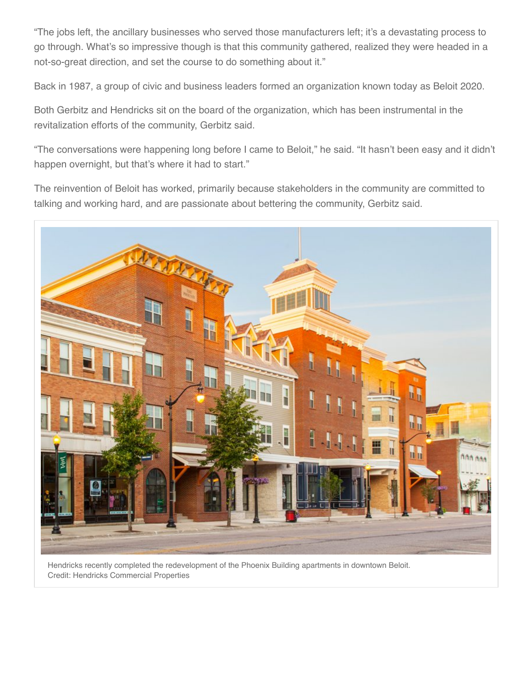"The jobs left, the ancillary businesses who served those manufacturers left; it's a devastating process to go through. What's so impressive though is that this community gathered, realized they were headed in a not-so-great direction, and set the course to do something about it."

Back in 1987, a group of civic and business leaders formed an organization known today as Beloit 2020.

Both Gerbitz and Hendricks sit on the board of the organization, which has been instrumental in the revitalization efforts of the community, Gerbitz said.

"The conversations were happening long before I came to Beloit," he said. "It hasn't been easy and it didn't happen overnight, but that's where it had to start."

The reinvention of Beloit has worked, primarily because stakeholders in the community are committed to talking and working hard, and are passionate about bettering the community, Gerbitz said.



Hendricks recently completed the redevelopment of the Phoenix Building apartments in downtown Beloit. Credit: Hendricks Commercial Properties